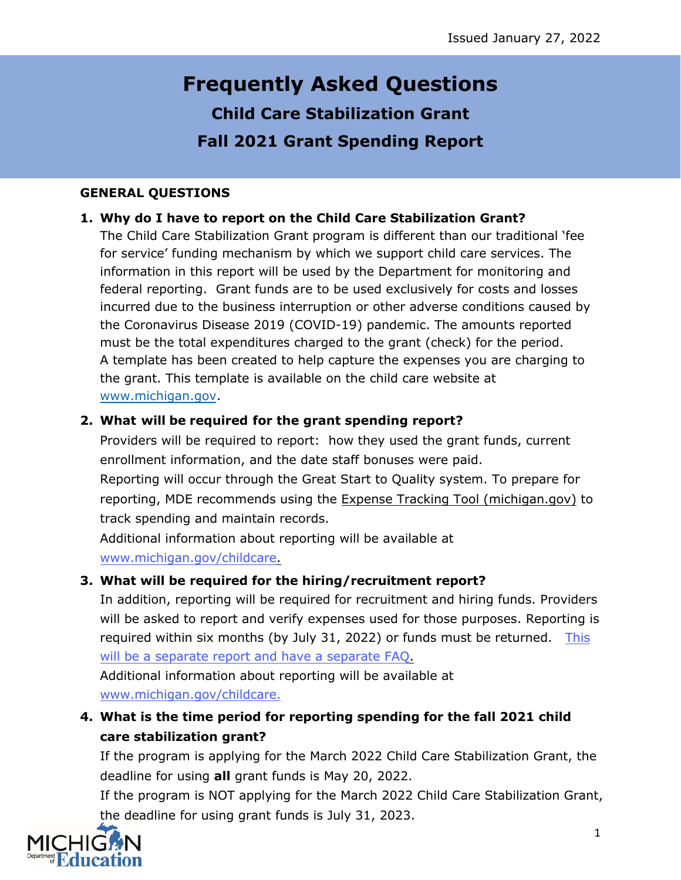# **Frequently Asked Questions Child Care Stabilization Grant Fall 2021 Grant Spending Report**

#### **GENERAL QUESTIONS**

# **1. Why do I have to report on the Child Care Stabilization Grant?**

The Child Care Stabilization Grant program is different than our traditional 'fee for service' funding mechanism by which we support child care services. The information in this report will be used by the Department for monitoring and federal reporting. Grant funds are to be used exclusively for costs and losses incurred due to the business interruption or other adverse conditions caused by the Coronavirus Disease 2019 (COVID-19) pandemic. The amounts reported must be the total expenditures charged to the grant (check) for the period. A template has been created to help capture the expenses you are charging to the grant. This template is available on the child care website at [www.michigan.gov.](http://www.michigan.gov/)

#### **2. What will be required for the grant spending report?**

Providers will be required to report: how they used the grant funds, current enrollment information, and the date staff bonuses were paid. Reporting will occur through the Great Start to Quality system. To prepare for reporting, MDE recommends using the [Expense Tracking Tool \(michigan.gov\)](https://www.michigan.gov/documents/mde/ARPA_MI_FCC_Expense_Tracking_Tool_740184_7.pdf) to track spending and maintain records.

Additional information about reporting will be available at [www.michigan.gov/childcare.](http://www.michigan.gov/childcare)

## **3. What will be required for the hiring/recruitment report?**

In addition, reporting will be required for recruitment and hiring funds. Providers will be asked to report and verify expenses used for those purposes. Reporting is [required within six months](https://www.michigan.gov/documents/mde/Hiring_and_Recruitment_FAQ1.26.22_746736_7.pdf) (by July 31, 2022) or funds must be returned. This

will be a separate report and have a separate FAQ.

Additional information about reporting will be available at [www.michigan.gov/childcare.](http://www.michigan.gov/childcare)

**4. What is the time period for reporting spending for the fall 2021 child care stabilization grant?**

If the program is applying for the March 2022 Child Care Stabilization Grant, the deadline for using **all** grant funds is May 20, 2022.

If the program is NOT applying for the March 2022 Child Care Stabilization Grant, the deadline for using grant funds is July 31, 2023.

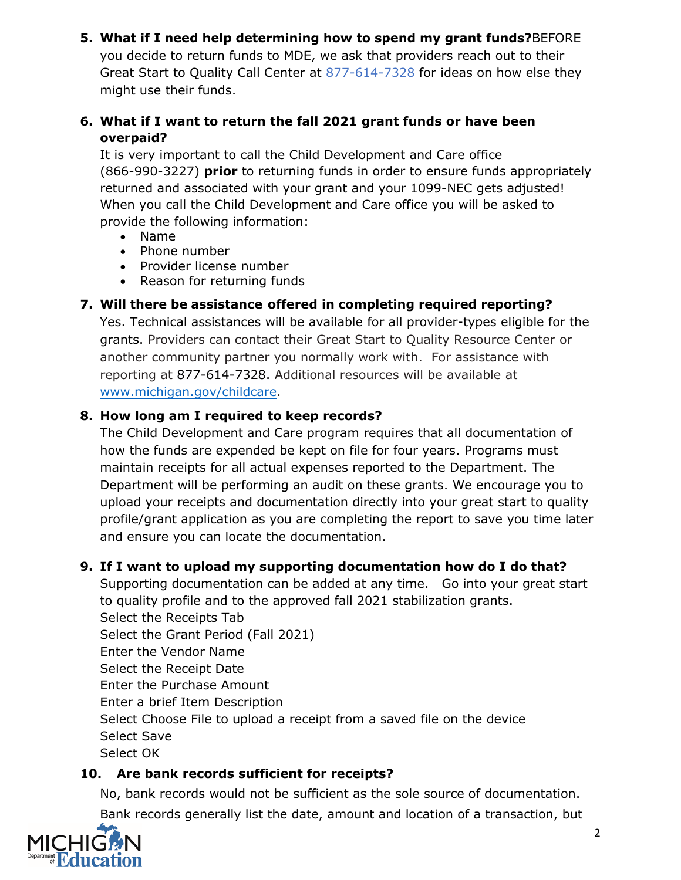# **5. What if I need help determining how to spend my grant funds?**BEFORE

you decide to return funds to MDE, we ask that providers reach out to their Great Start to Quality Call Center at 877-614-7328 for ideas on how else they might use their funds.

# **6. What if I want to return the fall 2021 grant funds or have been overpaid?**

It is very important to call the Child Development and Care office (866-990-3227) **prior** to returning funds in order to ensure funds appropriately returned and associated with your grant and your 1099-NEC gets adjusted! When you call the Child Development and Care office you will be asked to provide the following information:

- Name
- Phone number
- Provider license number
- Reason for returning funds

# **7. Will there be assistance offered in completing required reporting?**

Yes. Technical assistances will be available for all provider-types eligible for the grants. Providers can contact their Great Start to Quality Resource Center or another community partner you normally work with. For assistance with reporting at 877-614-7328. Additional resources will be available at [www.michigan.gov/childcare.](http://www.michigan.gov/childcare)

# **8. How long am I required to keep records?**

The Child Development and Care program requires that all documentation of how the funds are expended be kept on file for four years. Programs must maintain receipts for all actual expenses reported to the Department. The Department will be performing an audit on these grants. We encourage you to upload your receipts and documentation directly into your great start to quality profile/grant application as you are completing the report to save you time later and ensure you can locate the documentation.

# **9. If I want to upload my supporting documentation how do I do that?**

Supporting documentation can be added at any time. Go into your great start to quality profile and to the approved fall 2021 stabilization grants. Select the Receipts Tab Select the Grant Period (Fall 2021) Enter the Vendor Name Select the Receipt Date Enter the Purchase Amount Enter a brief Item Description Select Choose File to upload a receipt from a saved file on the device Select Save Select OK

# **10. Are bank records sufficient for receipts?**

No, bank records would not be sufficient as the sole source of documentation.

Bank records generally list the date, amount and location of a transaction, but

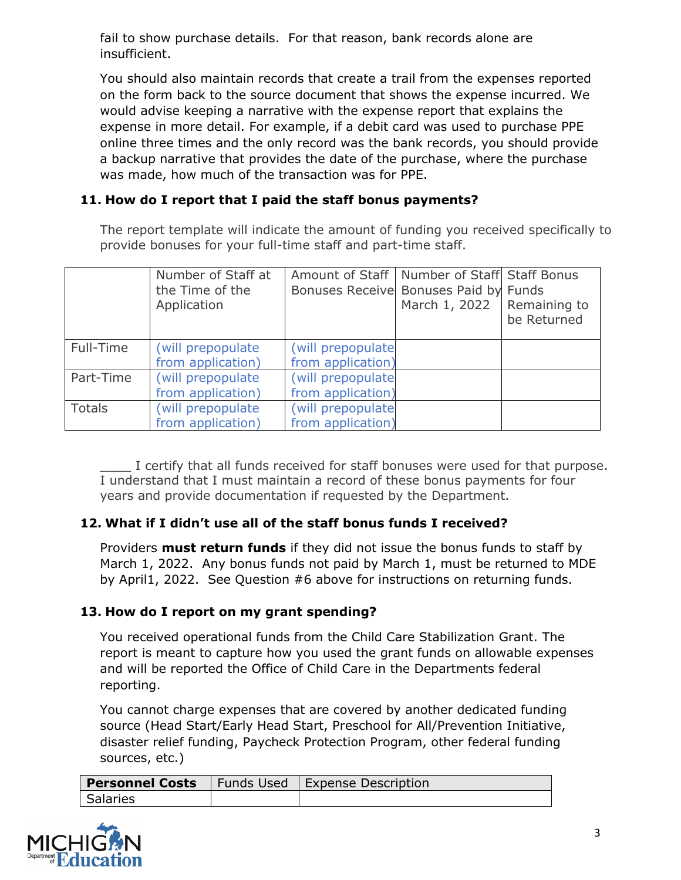fail to show purchase details. For that reason, bank records alone are insufficient.

You should also maintain records that create a trail from the expenses reported on the form back to the source document that shows the expense incurred. We would advise keeping a narrative with the expense report that explains the expense in more detail. For example, if a debit card was used to purchase PPE online three times and the only record was the bank records, you should provide a backup narrative that provides the date of the purchase, where the purchase was made, how much of the transaction was for PPE.

# **11. How do I report that I paid the staff bonus payments?**

The report template will indicate the amount of funding you received specifically to provide bonuses for your full-time staff and part-time staff.

|               | Number of Staff at<br>the Time of the<br>Application | Amount of Staff   Number of Staff   Staff Bonus<br>Bonuses Receive Bonuses Paid by Funds | March 1, 2022 | Remaining to<br>be Returned |
|---------------|------------------------------------------------------|------------------------------------------------------------------------------------------|---------------|-----------------------------|
| Full-Time     | (will prepopulate)                                   | (will prepopulate                                                                        |               |                             |
|               | from application)                                    | from application)                                                                        |               |                             |
| Part-Time     | (will prepopulate                                    | (will prepopulate                                                                        |               |                             |
|               | from application)                                    | from application)                                                                        |               |                             |
| <b>Totals</b> | (will prepopulate                                    | (will prepopulate                                                                        |               |                             |
|               | from application)                                    | from application)                                                                        |               |                             |

I certify that all funds received for staff bonuses were used for that purpose. I understand that I must maintain a record of these bonus payments for four years and provide documentation if requested by the Department.

# **12. What if I didn't use all of the staff bonus funds I received?**

Providers **must return funds** if they did not issue the bonus funds to staff by March 1, 2022. Any bonus funds not paid by March 1, must be returned to MDE by April1, 2022. See Question #6 above for instructions on returning funds.

## **13. How do I report on my grant spending?**

You received operational funds from the Child Care Stabilization Grant. The report is meant to capture how you used the grant funds on allowable expenses and will be reported the Office of Child Care in the Departments federal reporting.

You cannot charge expenses that are covered by another dedicated funding source (Head Start/Early Head Start, Preschool for All/Prevention Initiative, disaster relief funding, Paycheck Protection Program, other federal funding sources, etc.)

| <b>Personnel Costs</b> | Funds Used   Expense Description |
|------------------------|----------------------------------|
| Salaries               |                                  |

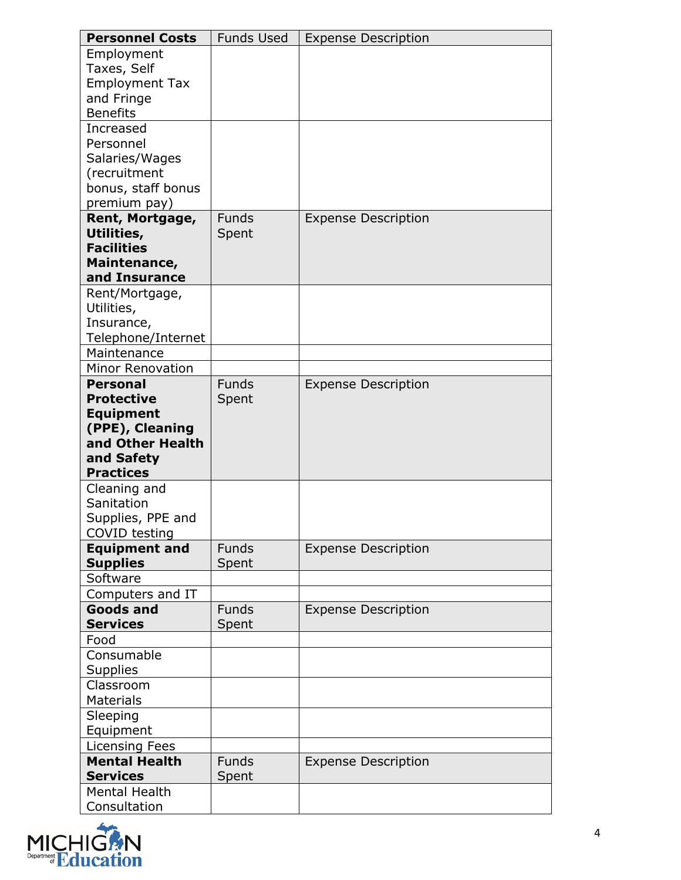| <b>Personnel Costs</b>                 | <b>Funds Used</b> | <b>Expense Description</b> |
|----------------------------------------|-------------------|----------------------------|
| Employment                             |                   |                            |
| Taxes, Self                            |                   |                            |
| <b>Employment Tax</b>                  |                   |                            |
| and Fringe                             |                   |                            |
| <b>Benefits</b>                        |                   |                            |
| Increased                              |                   |                            |
| Personnel                              |                   |                            |
| Salaries/Wages                         |                   |                            |
| (recruitment                           |                   |                            |
| bonus, staff bonus                     |                   |                            |
| premium pay)                           |                   |                            |
| Rent, Mortgage,                        | <b>Funds</b>      | <b>Expense Description</b> |
| Utilities,                             | Spent             |                            |
| <b>Facilities</b>                      |                   |                            |
| Maintenance,                           |                   |                            |
| and Insurance                          |                   |                            |
| Rent/Mortgage,                         |                   |                            |
| Utilities,                             |                   |                            |
| Insurance,                             |                   |                            |
| Telephone/Internet                     |                   |                            |
| Maintenance<br><b>Minor Renovation</b> |                   |                            |
| <b>Personal</b>                        | <b>Funds</b>      |                            |
| <b>Protective</b>                      | Spent             | <b>Expense Description</b> |
| <b>Equipment</b>                       |                   |                            |
| (PPE), Cleaning                        |                   |                            |
| and Other Health                       |                   |                            |
| and Safety                             |                   |                            |
| <b>Practices</b>                       |                   |                            |
| Cleaning and                           |                   |                            |
| Sanitation                             |                   |                            |
| Supplies, PPE and                      |                   |                            |
| COVID testing                          |                   |                            |
| <b>Equipment and</b>                   | <b>Funds</b>      | <b>Expense Description</b> |
| <b>Supplies</b>                        | Spent             |                            |
| Software                               |                   |                            |
| Computers and IT                       |                   |                            |
| <b>Goods and</b>                       | <b>Funds</b>      | <b>Expense Description</b> |
| <b>Services</b>                        | Spent             |                            |
| Food                                   |                   |                            |
| Consumable                             |                   |                            |
| <b>Supplies</b>                        |                   |                            |
| Classroom                              |                   |                            |
| <b>Materials</b>                       |                   |                            |
| Sleeping                               |                   |                            |
| Equipment                              |                   |                            |
| <b>Licensing Fees</b>                  |                   |                            |
| <b>Mental Health</b>                   | <b>Funds</b>      | <b>Expense Description</b> |
| <b>Services</b>                        | Spent             |                            |
| <b>Mental Health</b>                   |                   |                            |
| Consultation                           |                   |                            |

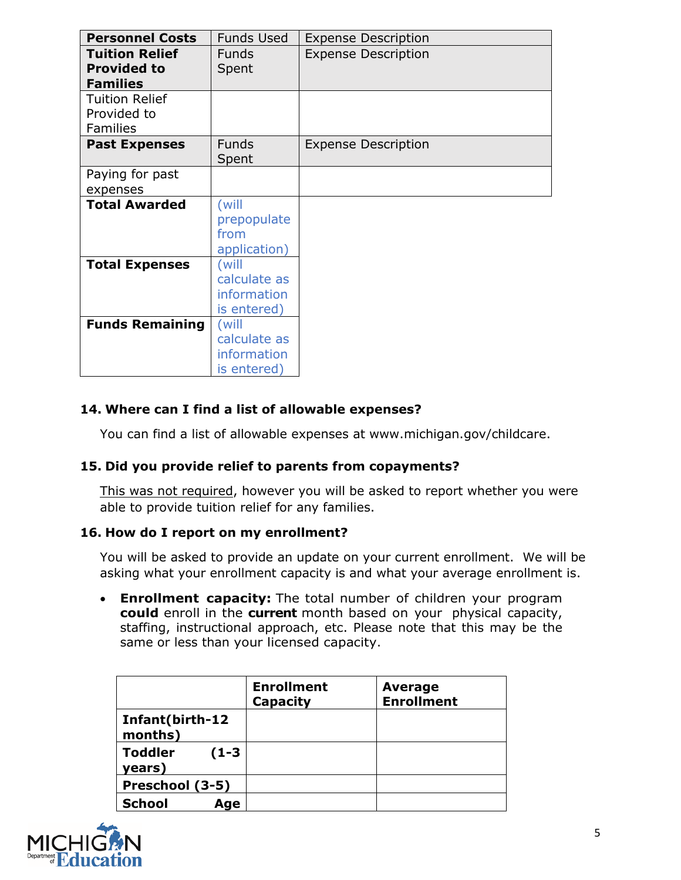| <b>Personnel Costs</b> | <b>Funds Used</b> | <b>Expense Description</b> |
|------------------------|-------------------|----------------------------|
| <b>Tuition Relief</b>  | <b>Funds</b>      | <b>Expense Description</b> |
| <b>Provided to</b>     | Spent             |                            |
| <b>Families</b>        |                   |                            |
| <b>Tuition Relief</b>  |                   |                            |
| Provided to            |                   |                            |
| <b>Families</b>        |                   |                            |
| <b>Past Expenses</b>   | <b>Funds</b>      | <b>Expense Description</b> |
|                        | Spent             |                            |
| Paying for past        |                   |                            |
| expenses               |                   |                            |
| <b>Total Awarded</b>   | (will             |                            |
|                        | prepopulate       |                            |
|                        | from              |                            |
|                        | application)      |                            |
| <b>Total Expenses</b>  | (will             |                            |
|                        | calculate as      |                            |
|                        | information       |                            |
|                        | is entered)       |                            |
| <b>Funds Remaining</b> | (will             |                            |
|                        | calculate as      |                            |
|                        | information       |                            |
|                        | is entered)       |                            |

#### **14. Where can I find a list of allowable expenses?**

You can find a list of allowable expenses at www.michigan.gov/childcare.

#### **15. Did you provide relief to parents from copayments?**

This was not required, however you will be asked to report whether you were able to provide tuition relief for any families.

#### **16. How do I report on my enrollment?**

You will be asked to provide an update on your current enrollment. We will be asking what your enrollment capacity is and what your average enrollment is.

• **Enrollment capacity:** The total number of children your program **could** enroll in the **current** month based on your physical capacity, staffing, instructional approach, etc. Please note that this may be the same or less than your licensed capacity.

|                                       | <b>Enrollment</b><br>Capacity | <b>Average</b><br><b>Enrollment</b> |
|---------------------------------------|-------------------------------|-------------------------------------|
| Infant(birth-12<br>months)            |                               |                                     |
| <b>Toddler</b><br>$(1 - 3)$<br>years) |                               |                                     |
| Preschool (3-5)                       |                               |                                     |
| <b>School</b><br>Age                  |                               |                                     |

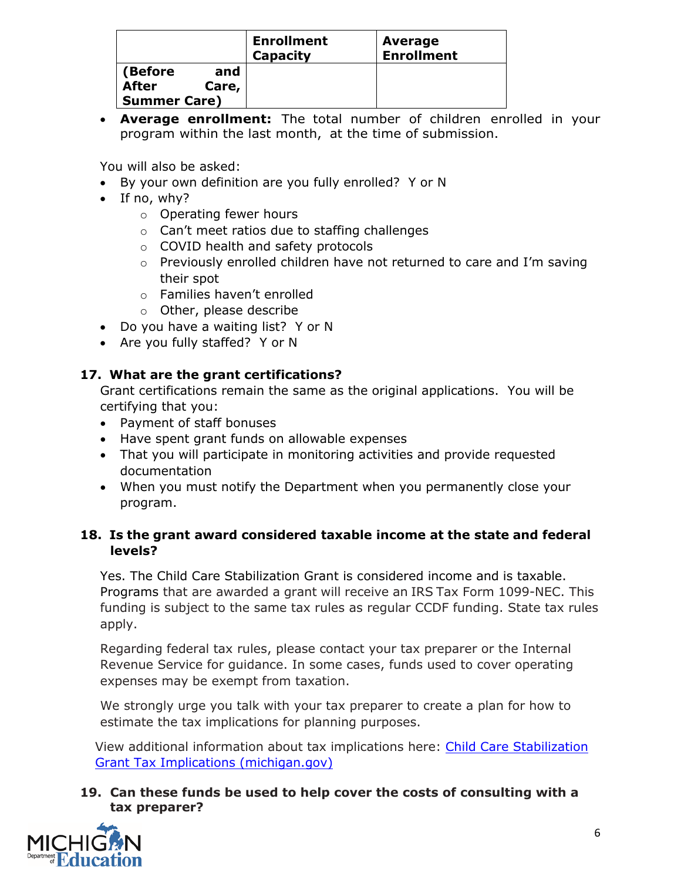|                       | <b>Enrollment</b><br>Capacity | <b>Average</b><br><b>Enrollment</b> |
|-----------------------|-------------------------------|-------------------------------------|
| (Before<br>and        |                               |                                     |
| <b>After</b><br>Care, |                               |                                     |
| <b>Summer Care)</b>   |                               |                                     |

• **Average enrollment:** The total number of children enrolled in your program within the last month, at the time of submission.

You will also be asked:

- By your own definition are you fully enrolled? Y or N
- If no, why?
	- o Operating fewer hours
	- o Can't meet ratios due to staffing challenges
	- o COVID health and safety protocols
	- o Previously enrolled children have not returned to care and I'm saving their spot
	- o Families haven't enrolled
	- o Other, please describe
- Do you have a waiting list? Y or N
- Are you fully staffed? Y or N

#### **17. What are the grant certifications?**

Grant certifications remain the same as the original applications. You will be certifying that you:

- Payment of staff bonuses
- Have spent grant funds on allowable expenses
- That you will participate in monitoring activities and provide requested documentation
- When you must notify the Department when you permanently close your program.

## **18. Is the grant award considered taxable income at the state and federal levels?**

Yes. The Child Care Stabilization Grant is considered income and is taxable. Programs that are awarded a grant will receive an IRS Tax Form 1099-NEC. This funding is subject to the same tax rules as regular CCDF funding. State tax rules apply.

Regarding federal tax rules, please contact your tax preparer or the Internal Revenue Service for guidance. In some cases, funds used to cover operating expenses may be exempt from taxation.

We strongly urge you talk with your tax preparer to create a plan for how to estimate the tax implications for planning purposes.

View additional information about tax implications here: [Child Care Stabilization](https://www.michigan.gov/documents/mde/Tax_implications_740185_7.pdf)  [Grant Tax Implications \(michigan.gov\)](https://www.michigan.gov/documents/mde/Tax_implications_740185_7.pdf)

#### **19. Can these funds be used to help cover the costs of consulting with a tax preparer?**

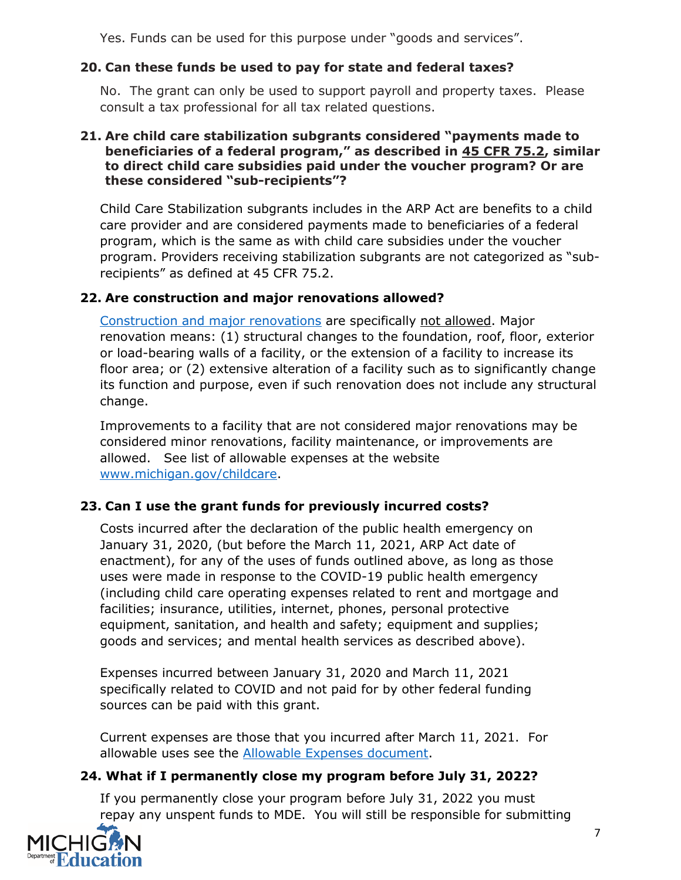Yes. Funds can be used for this purpose under "goods and services".

## **20. Can these funds be used to pay for state and federal taxes?**

No. The grant can only be used to support payroll and property taxes. Please consult a tax professional for all tax related questions.

#### **21. Are child care stabilization subgrants considered "payments made to beneficiaries of a federal program," as described in 45 CFR 75.2, similar to direct child care subsidies paid under the voucher program? Or are these considered "sub-recipients"?**

Child Care Stabilization subgrants includes in the ARP Act are benefits to a child care provider and are considered payments made to beneficiaries of a federal program, which is the same as with child care subsidies under the voucher program. Providers receiving stabilization subgrants are not categorized as "subrecipients" as defined at 45 CFR 75.2.

#### **22. Are construction and major renovations allowed?**

[Construction and major renovations](https://gcc02.safelinks.protection.outlook.com/?url=https%3A%2F%2Fwww.michigan.gov%2Fdocuments%2Fmde%2FStabilization_Grant_Allowable_Uses_740186_7.pdf&data=04%7C01%7CBrewer-WalravenL%40michigan.gov%7Cc32e6e68eb0a44d9a5e508d99fb36dbd%7Cd5fb7087377742ad966a892ef47225d1%7C0%7C0%7C637716415244560333%7CUnknown%7CTWFpbGZsb3d8eyJWIjoiMC4wLjAwMDAiLCJQIjoiV2luMzIiLCJBTiI6Ik1haWwiLCJXVCI6Mn0%3D%7C1000&sdata=AqBZ0jGBYsmgcEM3J5OvrO630vcy7rm4NgUfKcwuxoQ%3D&reserved=0) are specifically not allowed. Major renovation means: (1) structural changes to the foundation, roof, floor, exterior or load-bearing walls of a facility, or the extension of a facility to increase its floor area; or (2) extensive alteration of a facility such as to significantly change its function and purpose, even if such renovation does not include any structural change.

Improvements to a facility that are not considered major renovations may be considered minor renovations, facility maintenance, or improvements are allowed. See list of allowable expenses at the website [www.michigan.gov/childcare.](http://www.michigan.gov/childcare)

# **23. Can I use the grant funds for previously incurred costs?**

Costs incurred after the declaration of the public health emergency on January 31, 2020, (but before the March 11, 2021, ARP Act date of enactment), for any of the uses of funds outlined above, as long as those uses were made in response to the COVID-19 public health emergency (including child care operating expenses related to rent and mortgage and facilities; insurance, utilities, internet, phones, personal protective equipment, sanitation, and health and safety; equipment and supplies; goods and services; and mental health services as described above).

Expenses incurred between January 31, 2020 and March 11, 2021 specifically related to COVID and not paid for by other federal funding sources can be paid with this grant.

Current expenses are those that you incurred after March 11, 2021. For allowable uses see the [Allowable Expenses document.](https://www.michigan.gov/documents/mde/Stabilization_Grant_Allowable_Uses_740186_7.pdf)

## **24. What if I permanently close my program before July 31, 2022?**

If you permanently close your program before July 31, 2022 you must repay any unspent funds to MDE. You will still be responsible for submitting

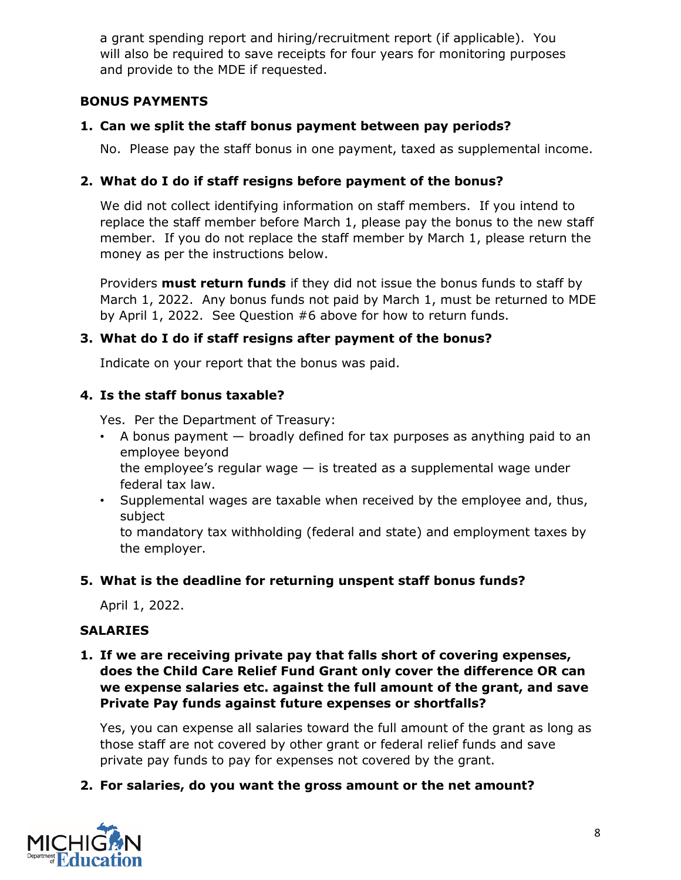a grant spending report and hiring/recruitment report (if applicable). You will also be required to save receipts for four years for monitoring purposes and provide to the MDE if requested.

# **BONUS PAYMENTS**

# **1. Can we split the staff bonus payment between pay periods?**

No. Please pay the staff bonus in one payment, taxed as supplemental income.

# **2. What do I do if staff resigns before payment of the bonus?**

We did not collect identifying information on staff members. If you intend to replace the staff member before March 1, please pay the bonus to the new staff member. If you do not replace the staff member by March 1, please return the money as per the instructions below.

Providers **must return funds** if they did not issue the bonus funds to staff by March 1, 2022. Any bonus funds not paid by March 1, must be returned to MDE by April 1, 2022. See Question #6 above for how to return funds.

# **3. What do I do if staff resigns after payment of the bonus?**

Indicate on your report that the bonus was paid.

# **4. Is the staff bonus taxable?**

Yes. Per the Department of Treasury:

• A bonus payment — broadly defined for tax purposes as anything paid to an employee beyond the employee's regular wage  $-$  is treated as a supplemental wage under

federal tax law.

• Supplemental wages are taxable when received by the employee and, thus, subject

to mandatory tax withholding (federal and state) and employment taxes by the employer.

## **5. What is the deadline for returning unspent staff bonus funds?**

April 1, 2022.

# **SALARIES**

#### **1. If we are receiving private pay that falls short of covering expenses, does the Child Care Relief Fund Grant only cover the difference OR can we expense salaries etc. against the full amount of the grant, and save Private Pay funds against future expenses or shortfalls?**

Yes, you can expense all salaries toward the full amount of the grant as long as those staff are not covered by other grant or federal relief funds and save private pay funds to pay for expenses not covered by the grant.

# **2. For salaries, do you want the gross amount or the net amount?**

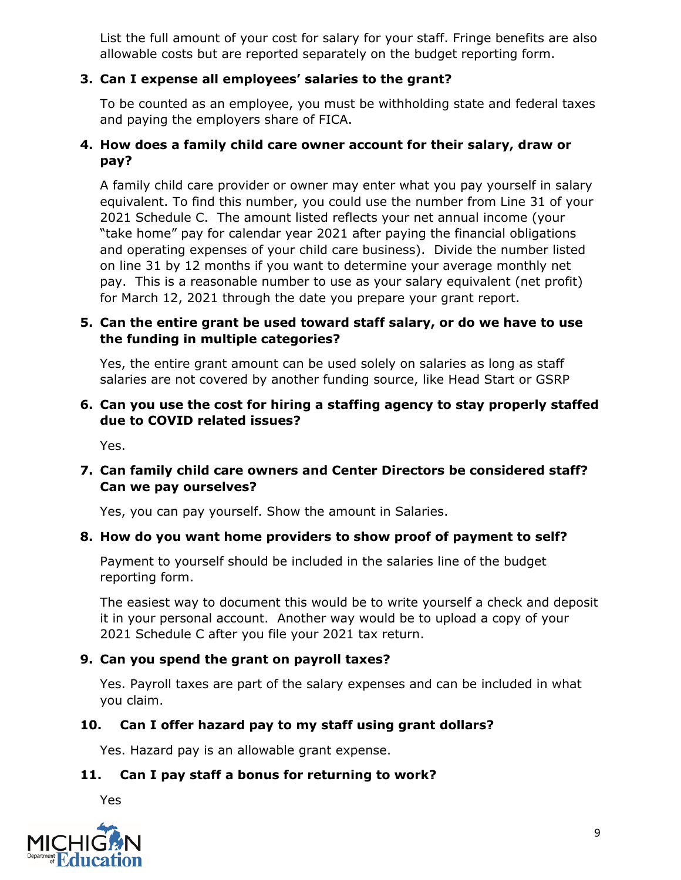List the full amount of your cost for salary for your staff. Fringe benefits are also allowable costs but are reported separately on the budget reporting form.

## **3. Can I expense all employees' salaries to the grant?**

To be counted as an employee, you must be withholding state and federal taxes and paying the employers share of FICA.

## **4. How does a family child care owner account for their salary, draw or pay?**

A family child care provider or owner may enter what you pay yourself in salary equivalent. To find this number, you could use the number from Line 31 of your 2021 Schedule C. The amount listed reflects your net annual income (your "take home" pay for calendar year 2021 after paying the financial obligations and operating expenses of your child care business). Divide the number listed on line 31 by 12 months if you want to determine your average monthly net pay. This is a reasonable number to use as your salary equivalent (net profit) for March 12, 2021 through the date you prepare your grant report.

## **5. Can the entire grant be used toward staff salary, or do we have to use the funding in multiple categories?**

Yes, the entire grant amount can be used solely on salaries as long as staff salaries are not covered by another funding source, like Head Start or GSRP

#### **6. Can you use the cost for hiring a staffing agency to stay properly staffed due to COVID related issues?**

Yes.

## **7. Can family child care owners and Center Directors be considered staff? Can we pay ourselves?**

Yes, you can pay yourself. Show the amount in Salaries.

## **8. How do you want home providers to show proof of payment to self?**

Payment to yourself should be included in the salaries line of the budget reporting form.

The easiest way to document this would be to write yourself a check and deposit it in your personal account. Another way would be to upload a copy of your 2021 Schedule C after you file your 2021 tax return.

## **9. Can you spend the grant on payroll taxes?**

Yes. Payroll taxes are part of the salary expenses and can be included in what you claim.

# **10. Can I offer hazard pay to my staff using grant dollars?**

Yes. Hazard pay is an allowable grant expense.

## **11. Can I pay staff a bonus for returning to work?**

Yes

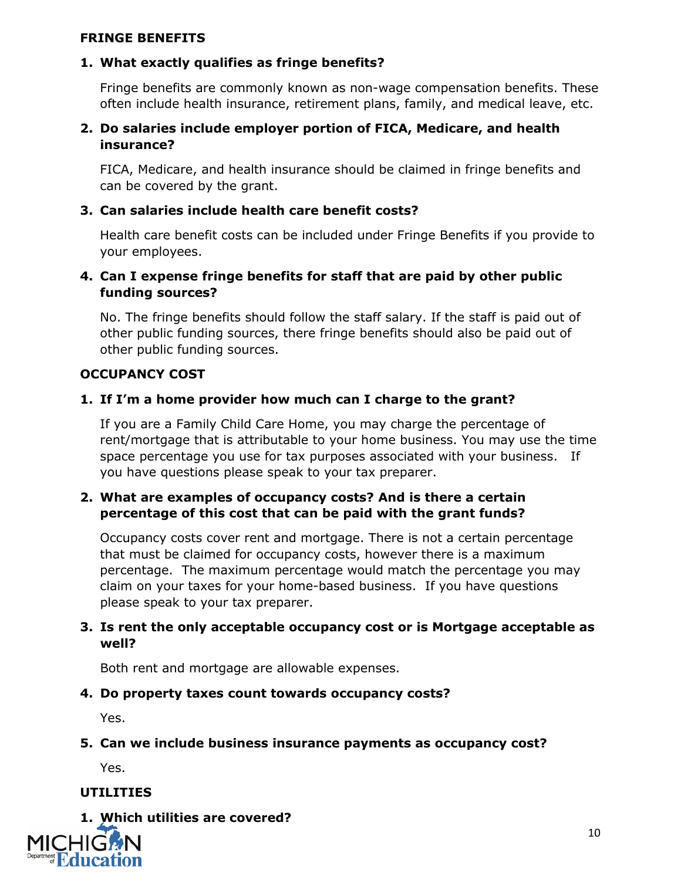#### **FRINGE BENEFITS**

## **1. What exactly qualifies as fringe benefits?**

Fringe benefits are commonly known as non-wage compensation benefits. These often include health insurance, retirement plans, family, and medical leave, etc.

#### **2. Do salaries include employer portion of FICA, Medicare, and health insurance?**

FICA, Medicare, and health insurance should be claimed in fringe benefits and can be covered by the grant.

#### **3. Can salaries include health care benefit costs?**

Health care benefit costs can be included under Fringe Benefits if you provide to your employees.

#### **4. Can I expense fringe benefits for staff that are paid by other public funding sources?**

No. The fringe benefits should follow the staff salary. If the staff is paid out of other public funding sources, there fringe benefits should also be paid out of other public funding sources.

#### **OCCUPANCY COST**

#### **1. If I'm a home provider how much can I charge to the grant?**

If you are a Family Child Care Home, you may charge the percentage of rent/mortgage that is attributable to your home business. You may use the time space percentage you use for tax purposes associated with your business. If you have questions please speak to your tax preparer.

#### **2. What are examples of occupancy costs? And is there a certain percentage of this cost that can be paid with the grant funds?**

Occupancy costs cover rent and mortgage. There is not a certain percentage that must be claimed for occupancy costs, however there is a maximum percentage. The maximum percentage would match the percentage you may claim on your taxes for your home-based business. If you have questions please speak to your tax preparer.

#### **3. Is rent the only acceptable occupancy cost or is Mortgage acceptable as well?**

Both rent and mortgage are allowable expenses.

#### **4. Do property taxes count towards occupancy costs?**

Yes.

#### **5. Can we include business insurance payments as occupancy cost?**

Yes.

## **UTILITIES**

## **1. Which utilities are covered?**

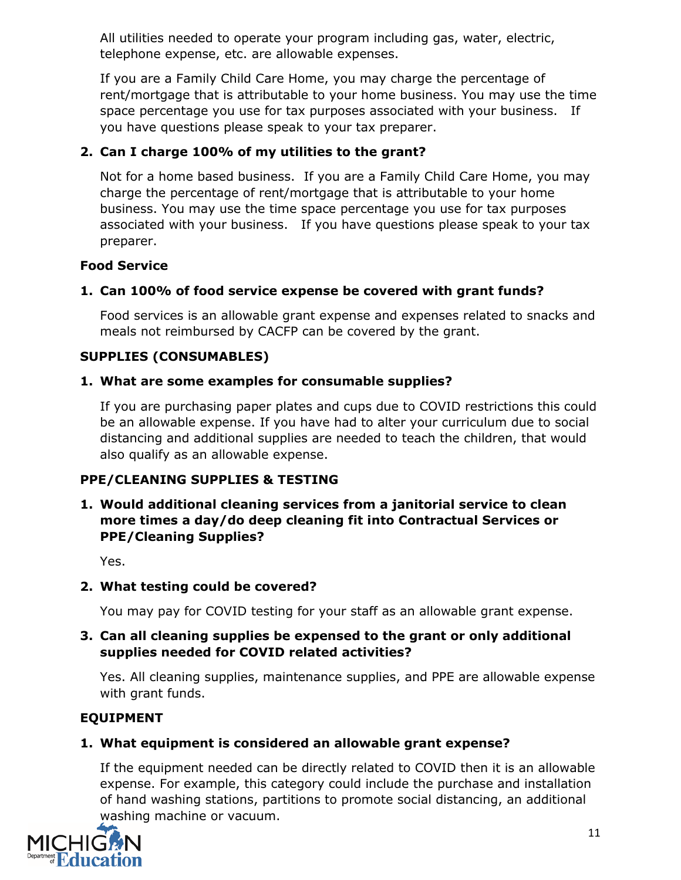All utilities needed to operate your program including gas, water, electric, telephone expense, etc. are allowable expenses.

If you are a Family Child Care Home, you may charge the percentage of rent/mortgage that is attributable to your home business. You may use the time space percentage you use for tax purposes associated with your business. If you have questions please speak to your tax preparer.

# **2. Can I charge 100% of my utilities to the grant?**

Not for a home based business. If you are a Family Child Care Home, you may charge the percentage of rent/mortgage that is attributable to your home business. You may use the time space percentage you use for tax purposes associated with your business. If you have questions please speak to your tax preparer.

# **Food Service**

# **1. Can 100% of food service expense be covered with grant funds?**

Food services is an allowable grant expense and expenses related to snacks and meals not reimbursed by CACFP can be covered by the grant.

# **SUPPLIES (CONSUMABLES)**

## **1. What are some examples for consumable supplies?**

If you are purchasing paper plates and cups due to COVID restrictions this could be an allowable expense. If you have had to alter your curriculum due to social distancing and additional supplies are needed to teach the children, that would also qualify as an allowable expense.

## **PPE/CLEANING SUPPLIES & TESTING**

**1. Would additional cleaning services from a janitorial service to clean more times a day/do deep cleaning fit into Contractual Services or PPE/Cleaning Supplies?**

Yes.

# **2. What testing could be covered?**

You may pay for COVID testing for your staff as an allowable grant expense.

## **3. Can all cleaning supplies be expensed to the grant or only additional supplies needed for COVID related activities?**

Yes. All cleaning supplies, maintenance supplies, and PPE are allowable expense with grant funds.

# **EQUIPMENT**

# **1. What equipment is considered an allowable grant expense?**

If the equipment needed can be directly related to COVID then it is an allowable expense. For example, this category could include the purchase and installation of hand washing stations, partitions to promote social distancing, an additional washing machine or vacuum.